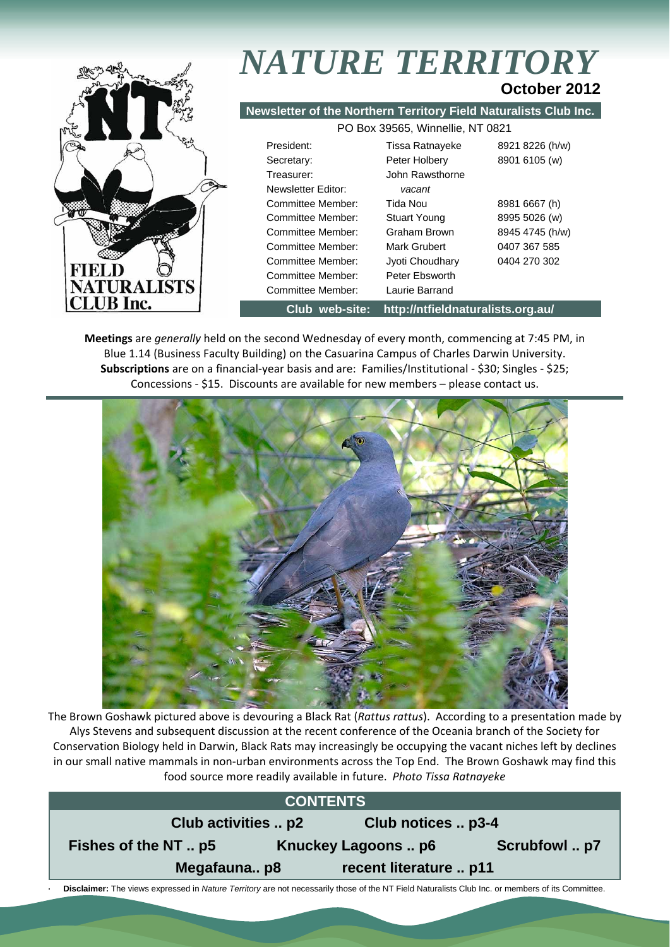

# *NATURE TERRITORY* **October 2012**

**Newsletter of the Northern Territory Field Naturalists Club Inc.**

| PO Box 39565, Winnellie, NT 0821 |                     |                 |  |  |  |  |
|----------------------------------|---------------------|-----------------|--|--|--|--|
| President:                       | Tissa Ratnayeke     | 8921 8226 (h/w) |  |  |  |  |
| Secretary:                       | Peter Holbery       | 8901 6105 (w)   |  |  |  |  |
| Treasurer:                       | John Rawsthorne     |                 |  |  |  |  |
| Newsletter Editor:               | vacant              |                 |  |  |  |  |
| Committee Member:                | Tida Nou            | 8981 6667 (h)   |  |  |  |  |
| Committee Member:                | <b>Stuart Young</b> | 8995 5026 (w)   |  |  |  |  |
| Committee Member:                | Graham Brown        | 8945 4745 (h/w) |  |  |  |  |
| Committee Member:                | Mark Grubert        | 0407 367 585    |  |  |  |  |
| Committee Member:                | Jyoti Choudhary     | 0404 270 302    |  |  |  |  |
| Committee Member:                | Peter Ebsworth      |                 |  |  |  |  |
| Committee Member:                | Laurie Barrand      |                 |  |  |  |  |

**Club web-site: http://ntfieldnaturalists.org.au/** 

**Meetings** are *generally* held on the second Wednesday of every month, commencing at 7:45 PM, in Blue 1.14 (Business Faculty Building) on the Casuarina Campus of Charles Darwin University. **Subscriptions** are on a financial‐year basis and are: Families/Institutional ‐ \$30; Singles ‐ \$25; Concessions ‐ \$15. Discounts are available for new members – please contact us.



The Brown Goshawk pictured above is devouring a Black Rat (*Rattus rattus*). According to a presentation made by Alys Stevens and subsequent discussion at the recent conference of the Oceania branch of the Society for Conservation Biology held in Darwin, Black Rats may increasingly be occupying the vacant niches left by declines in our small native mammals in non‐urban environments across the Top End. The Brown Goshawk may find this food source more readily available in future. *Photo Tissa Ratnayeke*

|                                           | <b>CONTENTS</b>                                                                                                                                  |  |  |  |  |  |  |
|-------------------------------------------|--------------------------------------------------------------------------------------------------------------------------------------------------|--|--|--|--|--|--|
| Club activities  p2<br>Club notices  p3-4 |                                                                                                                                                  |  |  |  |  |  |  |
|                                           | Fishes of the NT  p5<br>Scrubfowl  p7<br>Knuckey Lagoons  p6                                                                                     |  |  |  |  |  |  |
|                                           | Megafaunap8<br>recent literature  p11                                                                                                            |  |  |  |  |  |  |
|                                           | Disclaimer: The views expressed in Nature Territory are not necessarily those of the NT Field Naturalists Club Inc. or members of its Committee. |  |  |  |  |  |  |

 **Disclaimer:** The views expressed in *Nature Territory* are not necessarily those of the NT Field Naturalists Club Inc. or members of its Committee.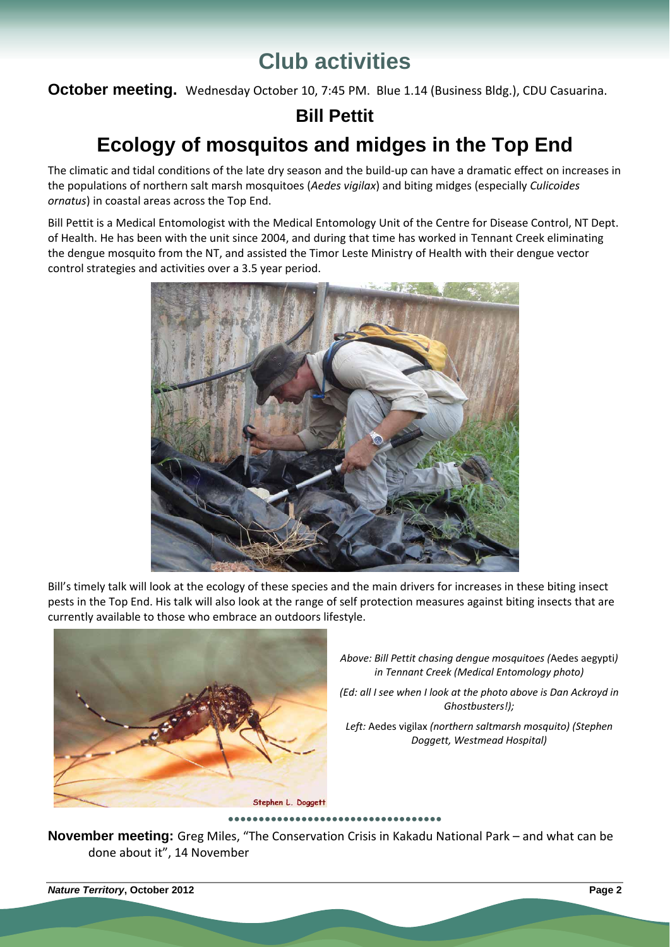# **Club activities**

**October meeting.** Wednesday October 10, 7:45 PM. Blue 1.14 (Business Bldg.), CDU Casuarina.

## **Bill Pettit**

# **Ecology of mosquitos and midges in the Top End**

The climatic and tidal conditions of the late dry season and the build-up can have a dramatic effect on increases in the populations of northern salt marsh mosquitoes (*Aedes vigilax*) and biting midges (especially *Culicoides ornatus*) in coastal areas across the Top End.

Bill Pettit is a Medical Entomologist with the Medical Entomology Unit of the Centre for Disease Control, NT Dept. of Health. He has been with the unit since 2004, and during that time has worked in Tennant Creek eliminating the dengue mosquito from the NT, and assisted the Timor Leste Ministry of Health with their dengue vector control strategies and activities over a 3.5 year period.



Bill's timely talk will look at the ecology of these species and the main drivers for increases in these biting insect pests in the Top End. His talk will also look at the range of self protection measures against biting insects that are currently available to those who embrace an outdoors lifestyle.



*Above: Bill Pettit chasing dengue mosquitoes (*Aedes aegypti*) in Tennant Creek (Medical Entomology photo)*

*(Ed: all I see when I look at the photo above is Dan Ackroyd in Ghostbusters!);* 

*Left:* Aedes vigilax *(northern saltmarsh mosquito) (Stephen Doggett, Westmead Hospital)*

**●●●●●●●●●●●●●●●●●●●●●●●●●●●●●●●●●●●**

**November meeting:** Greg Miles, "The Conservation Crisis in Kakadu National Park – and what can be done about it", 14 November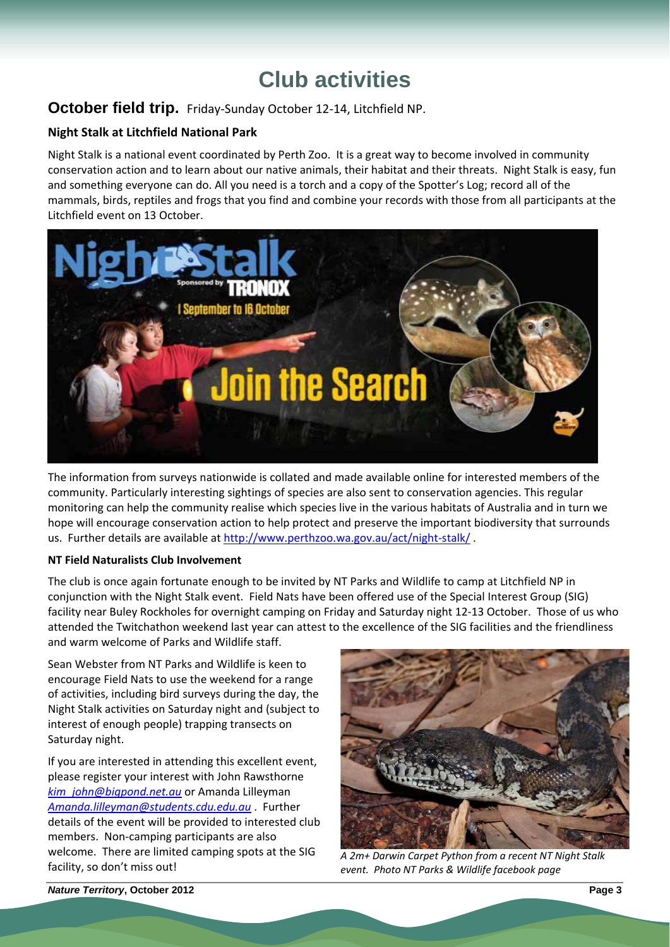# **Club activities**

### **October field trip.** Friday‐Sunday October 12‐14, Litchfield NP.

### **Night Stalk at Litchfield National Park**

Night Stalk is a national event coordinated by Perth Zoo. It is a great way to become involved in community conservation action and to learn about our native animals, their habitat and their threats. Night Stalk is easy, fun and something everyone can do. All you need is a torch and a copy of the Spotter's Log; record all of the mammals, birds, reptiles and frogs that you find and combine your records with those from all participants at the Litchfield event on 13 October.



The information from surveys nationwide is collated and made available online for interested members of the community. Particularly interesting sightings of species are also sent to conservation agencies. This regular monitoring can help the community realise which species live in the various habitats of Australia and in turn we hope will encourage conservation action to help protect and preserve the important biodiversity that surrounds us. Further details are available at http://www.perthzoo.wa.gov.au/act/night-stalk/.

#### **NT Field Naturalists Club Involvement**

The club is once again fortunate enough to be invited by NT Parks and Wildlife to camp at Litchfield NP in conjunction with the Night Stalk event. Field Nats have been offered use of the Special Interest Group (SIG) facility near Buley Rockholes for overnight camping on Friday and Saturday night 12‐13 October. Those of us who attended the Twitchathon weekend last year can attest to the excellence of the SIG facilities and the friendliness and warm welcome of Parks and Wildlife staff.

Sean Webster from NT Parks and Wildlife is keen to encourage Field Nats to use the weekend for a range of activities, including bird surveys during the day, the Night Stalk activities on Saturday night and (subject to interest of enough people) trapping transects on Saturday night.

If you are interested in attending this excellent event, please register your interest with John Rawsthorne *kim\_john@bigpond.net.au* or Amanda Lilleyman *Amanda.lilleyman@students.cdu.edu.au* . Further details of the event will be provided to interested club members. Non-camping participants are also welcome. There are limited camping spots at the SIG facility, so don't miss out!



*A 2m+ Darwin Carpet Python from a recent NT Night Stalk event. Photo NT Parks & Wildlife facebook page*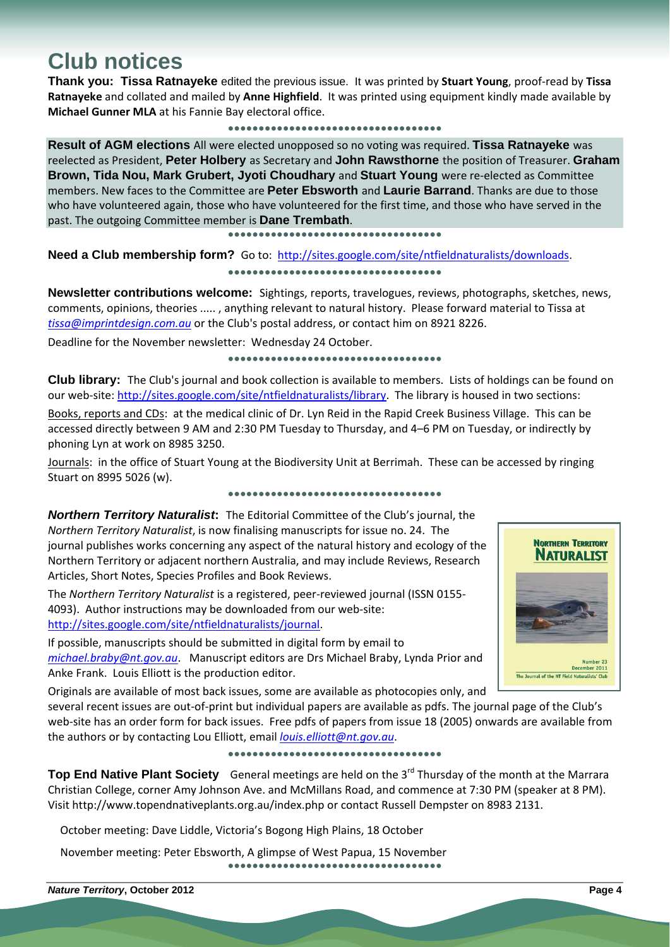# **Club notices**

**Thank you: Tissa Ratnayeke** edited the previous issue. It was printed by **Stuart Young**, proof‐read by **Tissa Ratnayeke** and collated and mailed by **Anne Highfield**. It was printed using equipment kindly made available by **Michael Gunner MLA** at his Fannie Bay electoral office.

#### **●●●●●●●●●●●●●●●●●●●●●●●●●●●●●●●●●●●**

**Result of AGM elections** All were elected unopposed so no voting was required. **Tissa Ratnayeke** was reelected as President, **Peter Holbery** as Secretary and **John Rawsthorne** the position of Treasurer. **Graham Brown, Tida Nou, Mark Grubert, Jyoti Choudhary** and **Stuart Young** were re‐elected as Committee members. New faces to the Committee are **Peter Ebsworth** and **Laurie Barrand**. Thanks are due to those who have volunteered again, those who have volunteered for the first time, and those who have served in the past. The outgoing Committee member is **Dane Trembath**.

**●●●●●●●●●●●●●●●●●●●●●●●●●●●●●●●●●●●**

Need a Club membership form? Go to: http://sites.google.com/site/ntfieldnaturalists/downloads. **●●●●●●●●●●●●●●●●●●●●●●●●●●●●●●●●●●●**

**Newsletter contributions welcome:** Sightings, reports, travelogues, reviews, photographs, sketches, news, comments, opinions, theories ..... , anything relevant to natural history. Please forward material to Tissa at *tissa@imprintdesign.com.au* or the Club's postal address, or contact him on 8921 8226.

Deadline for the November newsletter: Wednesday 24 October.

#### **●●●●●●●●●●●●●●●●●●●●●●●●●●●●●●●●●●●**

**Club library:** The Club's journal and book collection is available to members. Lists of holdings can be found on our web‐site: http://sites.google.com/site/ntfieldnaturalists/library. The library is housed in two sections:

Books, reports and CDs: at the medical clinic of Dr. Lyn Reid in the Rapid Creek Business Village. This can be accessed directly between 9 AM and 2:30 PM Tuesday to Thursday, and 4–6 PM on Tuesday, or indirectly by phoning Lyn at work on 8985 3250.

Journals: in the office of Stuart Young at the Biodiversity Unit at Berrimah. These can be accessed by ringing Stuart on 8995 5026 (w).

**●●●●●●●●●●●●●●●●●●●●●●●●●●●●●●●●●●●**

*Northern Territory Naturalist***:** The Editorial Committee of the Club's journal, the *Northern Territory Naturalist*, is now finalising manuscripts for issue no. 24. The journal publishes works concerning any aspect of the natural history and ecology of the Northern Territory or adjacent northern Australia, and may include Reviews, Research Articles, Short Notes, Species Profiles and Book Reviews.

The *Northern Territory Naturalist* is a registered, peer‐reviewed journal (ISSN 0155‐ 4093). Author instructions may be downloaded from our web‐site: http://sites.google.com/site/ntfieldnaturalists/journal.

If possible, manuscripts should be submitted in digital form by email to *michael.braby@nt.gov.au*. Manuscript editors are Drs Michael Braby, Lynda Prior and Anke Frank. Louis Elliott is the production editor.



several recent issues are out‐of‐print but individual papers are available as pdfs. The journal page of the Club's web-site has an order form for back issues. Free pdfs of papers from issue 18 (2005) onwards are available from the authors or by contacting Lou Elliott, email *louis.elliott@nt.gov.au*.

#### **●●●●●●●●●●●●●●●●●●●●●●●●●●●●●●●●●●●**

Top End Native Plant Society General meetings are held on the 3<sup>rd</sup> Thursday of the month at the Marrara Christian College, corner Amy Johnson Ave. and McMillans Road, and commence at 7:30 PM (speaker at 8 PM). Visit http://www.topendnativeplants.org.au/index.php or contact Russell Dempster on 8983 2131.

October meeting: Dave Liddle, Victoria's Bogong High Plains, 18 October

November meeting: Peter Ebsworth, A glimpse of West Papua, 15 November **●●●●●●●●●●●●●●●●●●●●●●●●●●●●●●●●●●●**

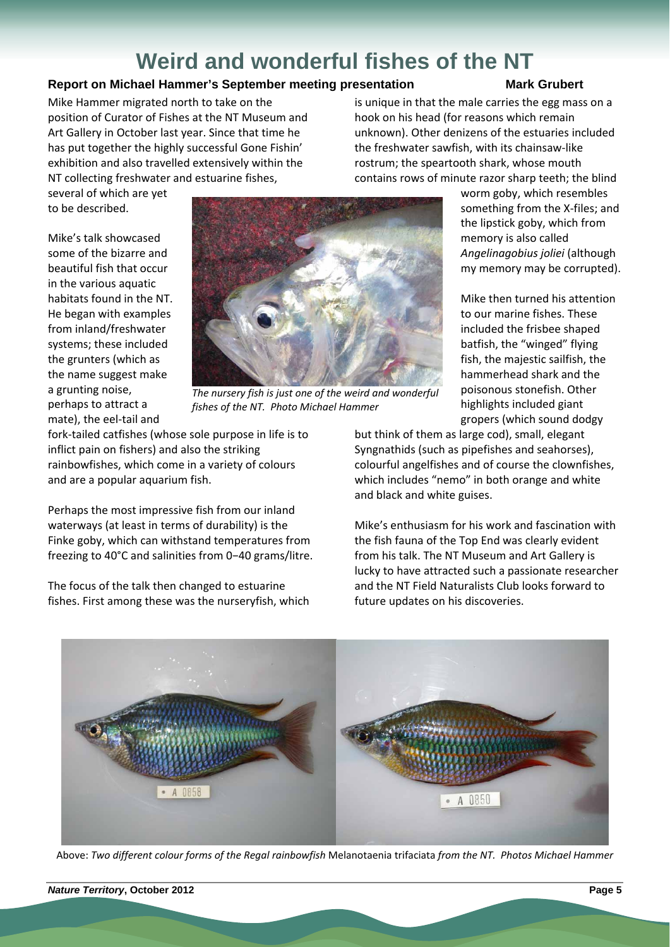# **Weird and wonderful fishes of the NT**

### **Report on Michael Hammer's September meeting presentation Mark Grubert Mark Grubert**

Mike Hammer migrated north to take on the position of Curator of Fishes at the NT Museum and Art Gallery in October last year. Since that time he has put together the highly successful Gone Fishin' exhibition and also travelled extensively within the NT collecting freshwater and estuarine fishes,

is unique in that the male carries the egg mass on a hook on his head (for reasons which remain unknown). Other denizens of the estuaries included the freshwater sawfish, with its chainsaw‐like rostrum; the speartooth shark, whose mouth contains rows of minute razor sharp teeth; the blind

several of which are yet to be described.

Mike's talk showcased some of the bizarre and beautiful fish that occur in the various aquatic habitats found in the NT. He began with examples from inland/freshwater systems; these included the grunters (which as the name suggest make a grunting noise, perhaps to attract a mate), the eel‐tail and



*The nursery fish is just one of the weird and wonderful fishes of the NT. Photo Michael Hammer*

fork‐tailed catfishes (whose sole purpose in life is to inflict pain on fishers) and also the striking rainbowfishes, which come in a variety of colours and are a popular aquarium fish.

Perhaps the most impressive fish from our inland waterways (at least in terms of durability) is the Finke goby, which can withstand temperatures from freezing to 40°C and salinities from 0−40 grams/litre.

The focus of the talk then changed to estuarine fishes. First among these was the nurseryfish, which worm goby, which resembles something from the X-files; and the lipstick goby, which from memory is also called *Angelinagobius joliei* (although my memory may be corrupted).

Mike then turned his attention to our marine fishes. These included the frisbee shaped batfish, the "winged" flying fish, the majestic sailfish, the hammerhead shark and the poisonous stonefish. Other highlights included giant gropers (which sound dodgy

but think of them as large cod), small, elegant Syngnathids (such as pipefishes and seahorses), colourful angelfishes and of course the clownfishes, which includes "nemo" in both orange and white and black and white guises.

Mike's enthusiasm for his work and fascination with the fish fauna of the Top End was clearly evident from his talk. The NT Museum and Art Gallery is lucky to have attracted such a passionate researcher and the NT Field Naturalists Club looks forward to future updates on his discoveries.



Above: *Two different colour forms of the Regal rainbowfish* Melanotaenia trifaciata *from the NT. Photos Michael Hammer*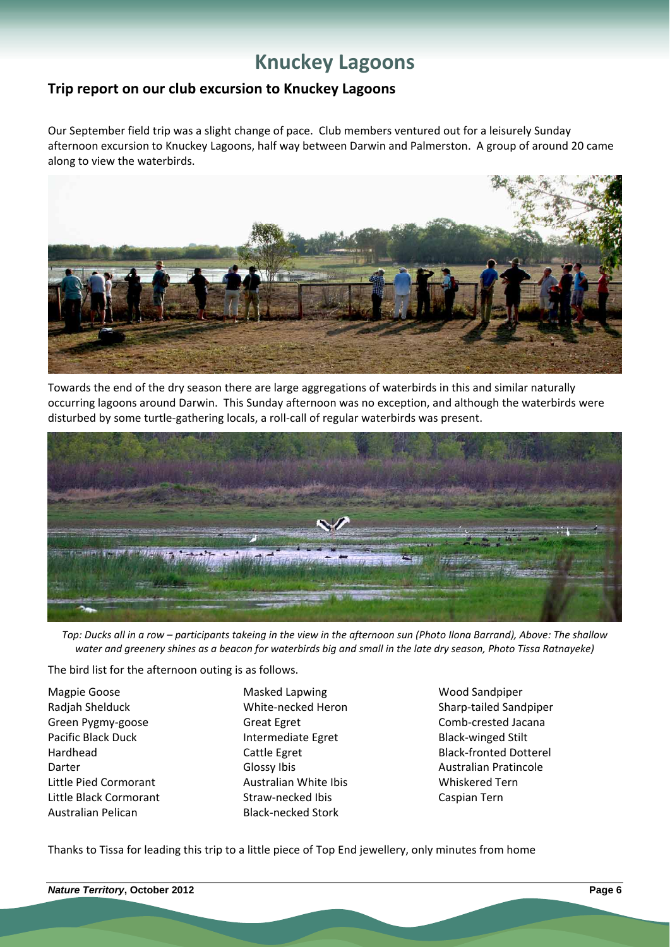## **Knuckey Lagoons**

### **Trip report on our club excursion to Knuckey Lagoons**

Our September field trip was a slight change of pace. Club members ventured out for a leisurely Sunday afternoon excursion to Knuckey Lagoons, half way between Darwin and Palmerston. A group of around 20 came along to view the waterbirds.



Towards the end of the dry season there are large aggregations of waterbirds in this and similar naturally occurring lagoons around Darwin. This Sunday afternoon was no exception, and although the waterbirds were disturbed by some turtle‐gathering locals, a roll‐call of regular waterbirds was present.



Top: Ducks all in a row - participants takeing in the view in the afternoon sun (Photo Ilona Barrand), Above: The shallow water and greenery shines as a beacon for waterbirds big and small in the late dry season, Photo Tissa Ratnayeke)

The bird list for the afternoon outing is as follows.

- Magpie Goose **Masked Lapwing Masked Lapwing** Wood Sandpiper Green Pygmy-goose Great Egret Great Egreen Comb-crested Jacana Pacific Black Duck Intermediate Egret Black-winged Stilt Darter **Contract Contract Contract Contract Contract Contract Contract Contract Contract Contract Contract Contract Contract Contract Contract Contract Contract Contract Contract Contract Contract Contract Contract Contrac** Little Pied Cormorant Australian White Ibis Whiskered Tern Little Black Cormorant Straw-necked Ibis Caspian Tern Australian Pelican Black-necked Stork
	-
- Radjah Shelduck White-necked Heron Sharp-tailed Sandpiper Hardhead **Cattle Egret** Cattle Egret Black-fronted Dotterel

Thanks to Tissa for leading this trip to a little piece of Top End jewellery, only minutes from home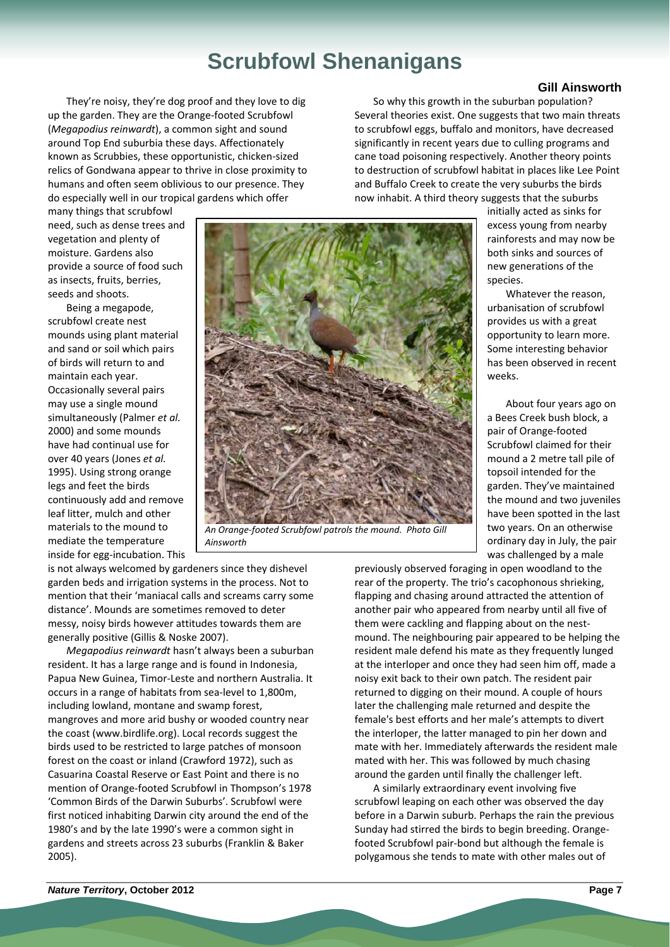# **Scrubfowl Shenanigans**

They're noisy, they're dog proof and they love to dig up the garden. They are the Orange‐footed Scrubfowl (*Megapodius reinwardt*), a common sight and sound around Top End suburbia these days. Affectionately known as Scrubbies, these opportunistic, chicken‐sized relics of Gondwana appear to thrive in close proximity to humans and often seem oblivious to our presence. They do especially well in our tropical gardens which offer

many things that scrubfowl need, such as dense trees and vegetation and plenty of moisture. Gardens also provide a source of food such as insects, fruits, berries, seeds and shoots.

Being a megapode, scrubfowl create nest mounds using plant material and sand or soil which pairs of birds will return to and maintain each year. Occasionally several pairs may use a single mound simultaneously (Palmer *et al.* 2000) and some mounds have had continual use for over 40 years (Jones *et al.* 1995). Using strong orange legs and feet the birds continuously add and remove leaf litter, mulch and other materials to the mound to mediate the temperature inside for egg‐incubation. This



*An Orange‐footed Scrubfowl patrols the mound. Photo Gill Ainsworth*

is not always welcomed by gardeners since they dishevel garden beds and irrigation systems in the process. Not to mention that their 'maniacal calls and screams carry some distance'. Mounds are sometimes removed to deter messy, noisy birds however attitudes towards them are generally positive (Gillis & Noske 2007).

*Megapodius reinwardt* hasn't always been a suburban resident. It has a large range and is found in Indonesia, Papua New Guinea, Timor‐Leste and northern Australia. It occurs in a range of habitats from sea‐level to 1,800m, including lowland, montane and swamp forest, mangroves and more arid bushy or wooded country near the coast (www.birdlife.org). Local records suggest the birds used to be restricted to large patches of monsoon forest on the coast or inland (Crawford 1972), such as Casuarina Coastal Reserve or East Point and there is no mention of Orange‐footed Scrubfowl in Thompson's 1978 'Common Birds of the Darwin Suburbs'. Scrubfowl were first noticed inhabiting Darwin city around the end of the 1980's and by the late 1990's were a common sight in gardens and streets across 23 suburbs (Franklin & Baker 2005).

**Gill Ainsworth** 

So why this growth in the suburban population? Several theories exist. One suggests that two main threats to scrubfowl eggs, buffalo and monitors, have decreased significantly in recent years due to culling programs and cane toad poisoning respectively. Another theory points to destruction of scrubfowl habitat in places like Lee Point and Buffalo Creek to create the very suburbs the birds now inhabit. A third theory suggests that the suburbs

> initially acted as sinks for excess young from nearby rainforests and may now be both sinks and sources of new generations of the species.

Whatever the reason, urbanisation of scrubfowl provides us with a great opportunity to learn more. Some interesting behavior has been observed in recent weeks.

About four years ago on a Bees Creek bush block, a pair of Orange‐footed Scrubfowl claimed for their mound a 2 metre tall pile of topsoil intended for the garden. They've maintained the mound and two juveniles have been spotted in the last two years. On an otherwise ordinary day in July, the pair was challenged by a male

previously observed foraging in open woodland to the rear of the property. The trio's cacophonous shrieking, flapping and chasing around attracted the attention of another pair who appeared from nearby until all five of them were cackling and flapping about on the nest‐ mound. The neighbouring pair appeared to be helping the resident male defend his mate as they frequently lunged at the interloper and once they had seen him off, made a noisy exit back to their own patch. The resident pair returned to digging on their mound. A couple of hours later the challenging male returned and despite the female's best efforts and her male's attempts to divert the interloper, the latter managed to pin her down and mate with her. Immediately afterwards the resident male mated with her. This was followed by much chasing around the garden until finally the challenger left.

A similarly extraordinary event involving five scrubfowl leaping on each other was observed the day before in a Darwin suburb. Perhaps the rain the previous Sunday had stirred the birds to begin breeding. Orange‐ footed Scrubfowl pair‐bond but although the female is polygamous she tends to mate with other males out of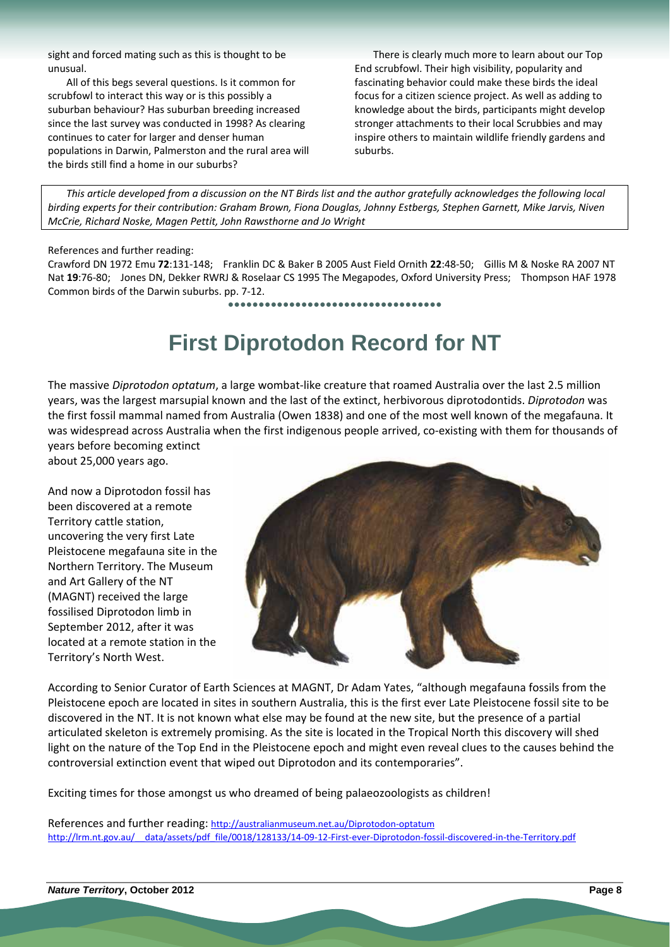sight and forced mating such as this is thought to be unusual.

All of this begs several questions. Is it common for scrubfowl to interact this way or is this possibly a suburban behaviour? Has suburban breeding increased since the last survey was conducted in 1998? As clearing continues to cater for larger and denser human populations in Darwin, Palmerston and the rural area will the birds still find a home in our suburbs?

There is clearly much more to learn about our Top End scrubfowl. Their high visibility, popularity and fascinating behavior could make these birds the ideal focus for a citizen science project. As well as adding to knowledge about the birds, participants might develop stronger attachments to their local Scrubbies and may inspire others to maintain wildlife friendly gardens and suburbs.

This article developed from a discussion on the NT Birds list and the author gratefully acknowledges the following local birding experts for their contribution: Graham Brown, Fiona Douglas, Johnny Estbergs, Stephen Garnett, Mike Jarvis, Niven *McCrie, Richard Noske, Magen Pettit, John Rawsthorne and Jo Wright*

#### References and further reading:

Crawford DN 1972 Emu **72**:131‐148; Franklin DC & Baker B 2005 Aust Field Ornith **22**:48‐50; Gillis M & Noske RA 2007 NT Nat **19**:76‐80; Jones DN, Dekker RWRJ & Roselaar CS 1995 The Megapodes, Oxford University Press; Thompson HAF 1978 Common birds of the Darwin suburbs. pp. 7‐12.

**●●●●●●●●●●●●●●●●●●●●●●●●●●●●●●●●●●●**

# **First Diprotodon Record for NT**

The massive *Diprotodon optatum*, a large wombat‐like creature that roamed Australia over the last 2.5 million years, was the largest marsupial known and the last of the extinct, herbivorous diprotodontids. *Diprotodon* was the first fossil mammal named from Australia (Owen 1838) and one of the most well known of the megafauna. It was widespread across Australia when the first indigenous people arrived, co-existing with them for thousands of years before becoming extinct

about 25,000 years ago.

And now a Diprotodon fossil has been discovered at a remote Territory cattle station, uncovering the very first Late Pleistocene megafauna site in the Northern Territory. The Museum and Art Gallery of the NT (MAGNT) received the large fossilised Diprotodon limb in September 2012, after it was located at a remote station in the Territory's North West.



According to Senior Curator of Earth Sciences at MAGNT, Dr Adam Yates, "although megafauna fossils from the Pleistocene epoch are located in sites in southern Australia, this is the first ever Late Pleistocene fossil site to be discovered in the NT. It is not known what else may be found at the new site, but the presence of a partial articulated skeleton is extremely promising. As the site is located in the Tropical North this discovery will shed light on the nature of the Top End in the Pleistocene epoch and might even reveal clues to the causes behind the controversial extinction event that wiped out Diprotodon and its contemporaries".

Exciting times for those amongst us who dreamed of being palaeozoologists as children!

References and further reading: http://australianmuseum.net.au/Diprotodon‐optatum http://lrm.nt.gov.au/ data/assets/pdf file/0018/128133/14‐09‐12‐First‐ever‐Diprotodon‐fossil‐discovered‐in‐the‐Territory.pdf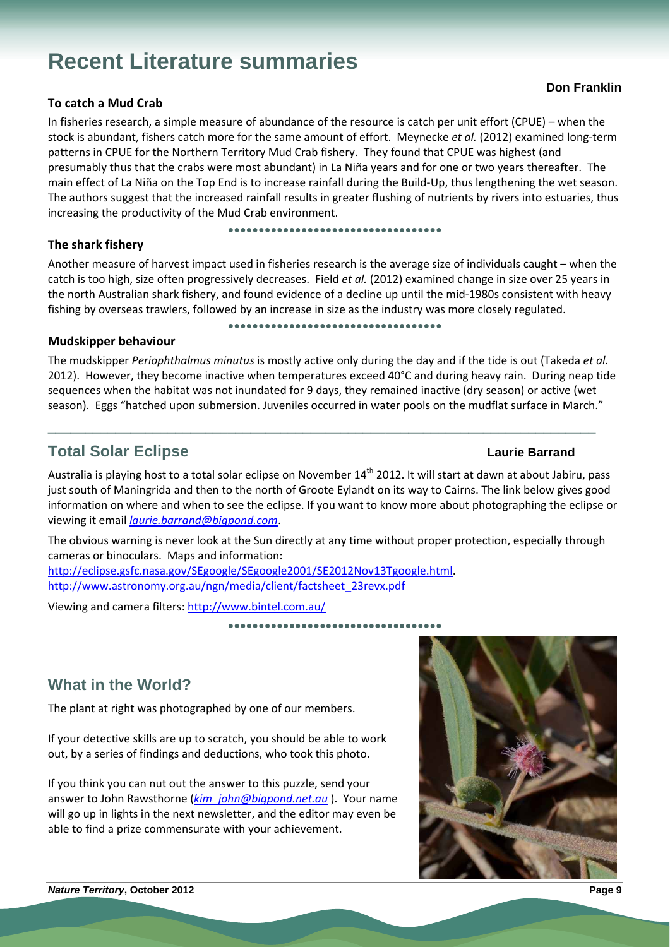# **Recent Literature summaries**

### **To catch a Mud Crab**

In fisheries research, a simple measure of abundance of the resource is catch per unit effort (CPUE) – when the stock is abundant, fishers catch more for the same amount of effort. Meynecke *et al.* (2012) examined long‐term patterns in CPUE for the Northern Territory Mud Crab fishery. They found that CPUE was highest (and presumably thus that the crabs were most abundant) in La Niña years and for one or two years thereafter. The main effect of La Niña on the Top End is to increase rainfall during the Build‐Up, thus lengthening the wet season. The authors suggest that the increased rainfall results in greater flushing of nutrients by rivers into estuaries, thus increasing the productivity of the Mud Crab environment.

**●●●●●●●●●●●●●●●●●●●●●●●●●●●●●●●●●●●**

### **The shark fishery**

Another measure of harvest impact used in fisheries research is the average size of individuals caught – when the catch is too high, size often progressively decreases. Field *et al.* (2012) examined change in size over 25 years in the north Australian shark fishery, and found evidence of a decline up until the mid‐1980s consistent with heavy fishing by overseas trawlers, followed by an increase in size as the industry was more closely regulated.

**●●●●●●●●●●●●●●●●●●●●●●●●●●●●●●●●●●●**

### **Mudskipper behaviour**

The mudskipper *Periophthalmus minutus* is mostly active only during the day and if the tide is out (Takeda *et al.* 2012). However, they become inactive when temperatures exceed 40°C and during heavy rain. During neap tide sequences when the habitat was not inundated for 9 days, they remained inactive (dry season) or active (wet season). Eggs "hatched upon submersion. Juveniles occurred in water pools on the mudflat surface in March."

**\_\_\_\_\_\_\_\_\_\_\_\_\_\_\_\_\_\_\_\_\_\_\_\_\_\_\_\_\_\_\_\_\_\_\_\_\_\_\_\_\_\_\_\_\_\_\_\_\_\_\_\_\_\_\_\_\_\_\_\_\_\_\_\_\_\_\_\_\_\_\_\_\_** 

### **Total Solar Eclipse Laurie Barrand Contract Contract Contract Contract Contract Contract Contract Contract Contract Contract Contract Contract Contract Contract Contract Contract Contract Contract Contract Contract Contra**

Australia is playing host to a total solar eclipse on November  $14<sup>th</sup>$  2012. It will start at dawn at about Jabiru, pass just south of Maningrida and then to the north of Groote Eylandt on its way to Cairns. The link below gives good information on where and when to see the eclipse. If you want to know more about photographing the eclipse or viewing it email *laurie.barrand@bigpond.com*.

The obvious warning is never look at the Sun directly at any time without proper protection, especially through cameras or binoculars. Maps and information:

http://eclipse.gsfc.nasa.gov/SEgoogle/SEgoogle2001/SE2012Nov13Tgoogle.html. http://www.astronomy.org.au/ngn/media/client/factsheet\_23revx.pdf

Viewing and camera filters: http://www.bintel.com.au/

**●●●●●●●●●●●●●●●●●●●●●●●●●●●●●●●●●●●**

### **What in the World?**

The plant at right was photographed by one of our members.

If your detective skills are up to scratch, you should be able to work out, by a series of findings and deductions, who took this photo.

If you think you can nut out the answer to this puzzle, send your answer to John Rawsthorne (*kim\_john@bigpond.net.au* ). Your name will go up in lights in the next newsletter, and the editor may even be able to find a prize commensurate with your achievement.

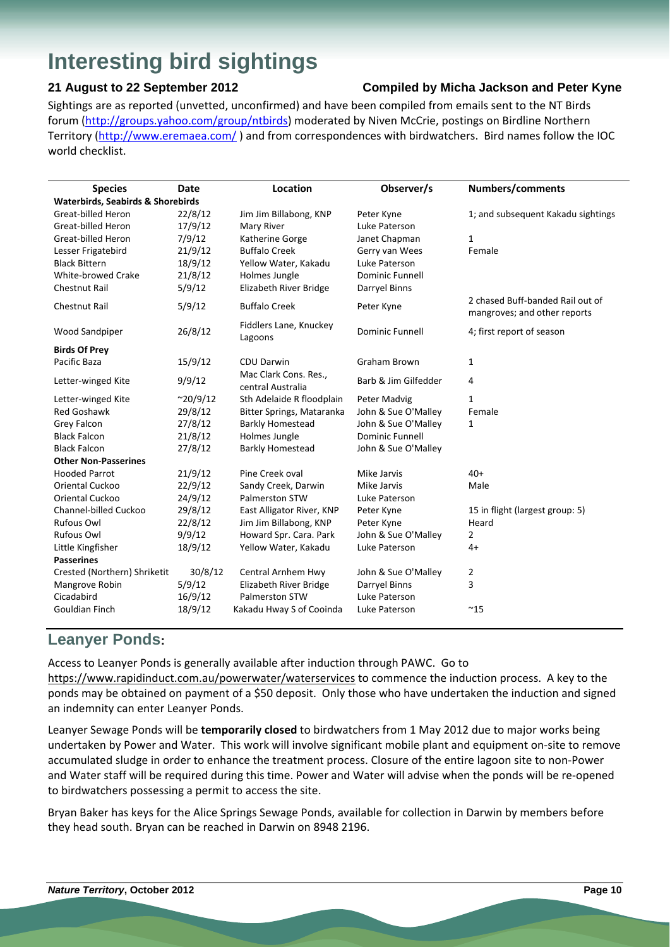# **Interesting bird sightings**

### **21 August to 22 September 2012 Compiled by Micha Jackson and Peter Kyne**

Sightings are as reported (unvetted, unconfirmed) and have been compiled from emails sent to the NT Birds forum (http://groups.yahoo.com/group/ntbirds) moderated by Niven McCrie, postings on Birdline Northern Territory (http://www.eremaea.com/) and from correspondences with birdwatchers. Bird names follow the IOC world checklist.

| <b>Species</b>                               | Date             | Location                                   | Observer/s             | Numbers/comments                                                 |  |  |  |
|----------------------------------------------|------------------|--------------------------------------------|------------------------|------------------------------------------------------------------|--|--|--|
| <b>Waterbirds, Seabirds &amp; Shorebirds</b> |                  |                                            |                        |                                                                  |  |  |  |
| <b>Great-billed Heron</b>                    | 22/8/12          | Jim Jim Billabong, KNP                     | Peter Kyne             | 1; and subsequent Kakadu sightings                               |  |  |  |
| <b>Great-billed Heron</b>                    | 17/9/12          | Mary River                                 | Luke Paterson          |                                                                  |  |  |  |
| <b>Great-billed Heron</b>                    | 7/9/12           | Katherine Gorge                            | Janet Chapman          | 1                                                                |  |  |  |
| Lesser Frigatebird                           | 21/9/12          | <b>Buffalo Creek</b>                       | Gerry van Wees         | Female                                                           |  |  |  |
| <b>Black Bittern</b>                         | 18/9/12          | Yellow Water, Kakadu                       | Luke Paterson          |                                                                  |  |  |  |
| <b>White-browed Crake</b>                    | 21/8/12          | Holmes Jungle                              | <b>Dominic Funnell</b> |                                                                  |  |  |  |
| <b>Chestnut Rail</b>                         | 5/9/12           | Elizabeth River Bridge                     | Darryel Binns          |                                                                  |  |  |  |
| <b>Chestnut Rail</b>                         | 5/9/12           | <b>Buffalo Creek</b>                       | Peter Kyne             | 2 chased Buff-banded Rail out of<br>mangroves; and other reports |  |  |  |
| <b>Wood Sandpiper</b>                        | 26/8/12          | Fiddlers Lane, Knuckey<br>Lagoons          | <b>Dominic Funnell</b> | 4; first report of season                                        |  |  |  |
| <b>Birds Of Prey</b>                         |                  |                                            |                        |                                                                  |  |  |  |
| Pacific Baza                                 | 15/9/12          | <b>CDU Darwin</b>                          | <b>Graham Brown</b>    | $\mathbf{1}$                                                     |  |  |  |
| Letter-winged Kite                           | 9/9/12           | Mac Clark Cons. Res.,<br>central Australia | Barb & Jim Gilfedder   | 4                                                                |  |  |  |
| Letter-winged Kite                           | $^{\sim}20/9/12$ | Sth Adelaide R floodplain                  | Peter Madvig           | $\mathbf{1}$                                                     |  |  |  |
| <b>Red Goshawk</b>                           | 29/8/12          | Bitter Springs, Mataranka                  | John & Sue O'Malley    | Female                                                           |  |  |  |
| Grey Falcon                                  | 27/8/12          | <b>Barkly Homestead</b>                    | John & Sue O'Malley    | 1                                                                |  |  |  |
| <b>Black Falcon</b>                          | 21/8/12          | Holmes Jungle                              | <b>Dominic Funnell</b> |                                                                  |  |  |  |
| <b>Black Falcon</b>                          | 27/8/12          | <b>Barkly Homestead</b>                    | John & Sue O'Malley    |                                                                  |  |  |  |
| <b>Other Non-Passerines</b>                  |                  |                                            |                        |                                                                  |  |  |  |
| <b>Hooded Parrot</b>                         | 21/9/12          | Pine Creek oval                            | Mike Jarvis            | $40+$                                                            |  |  |  |
| <b>Oriental Cuckoo</b>                       | 22/9/12          | Sandy Creek, Darwin                        | Mike Jarvis            | Male                                                             |  |  |  |
| <b>Oriental Cuckoo</b>                       | 24/9/12          | <b>Palmerston STW</b>                      | Luke Paterson          |                                                                  |  |  |  |
| Channel-billed Cuckoo                        | 29/8/12          | East Alligator River, KNP                  | Peter Kyne             | 15 in flight (largest group: 5)                                  |  |  |  |
| <b>Rufous Owl</b>                            | 22/8/12          | Jim Jim Billabong, KNP                     | Peter Kyne             | Heard                                                            |  |  |  |
| <b>Rufous Owl</b>                            | 9/9/12           | Howard Spr. Cara. Park                     | John & Sue O'Malley    | $\overline{2}$                                                   |  |  |  |
| Little Kingfisher                            | 18/9/12          | Yellow Water, Kakadu                       | Luke Paterson          | $4+$                                                             |  |  |  |
| <b>Passerines</b>                            |                  |                                            |                        |                                                                  |  |  |  |
| Crested (Northern) Shriketit                 | 30/8/12          | Central Arnhem Hwy                         | John & Sue O'Malley    | 2                                                                |  |  |  |
| Mangrove Robin                               | 5/9/12           | Elizabeth River Bridge                     | Darryel Binns          | 3                                                                |  |  |  |
| Cicadabird                                   | 16/9/12          | Palmerston STW                             | Luke Paterson          |                                                                  |  |  |  |
| <b>Gouldian Finch</b>                        | 18/9/12          | Kakadu Hway S of Cooinda                   | Luke Paterson          | $^{\sim}$ 15                                                     |  |  |  |

### **Leanyer Ponds:**

Access to Leanyer Ponds is generally available after induction through PAWC. Go to https://www.rapidinduct.com.au/powerwater/waterservices to commence the induction process. A key to the ponds may be obtained on payment of a \$50 deposit. Only those who have undertaken the induction and signed an indemnity can enter Leanyer Ponds.

Leanyer Sewage Ponds will be **temporarily closed** to birdwatchers from 1 May 2012 due to major works being undertaken by Power and Water. This work will involve significant mobile plant and equipment on‐site to remove accumulated sludge in order to enhance the treatment process. Closure of the entire lagoon site to non‐Power and Water staff will be required during this time. Power and Water will advise when the ponds will be re‐opened to birdwatchers possessing a permit to access the site.

Bryan Baker has keys for the Alice Springs Sewage Ponds, available for collection in Darwin by members before they head south. Bryan can be reached in Darwin on 8948 2196.